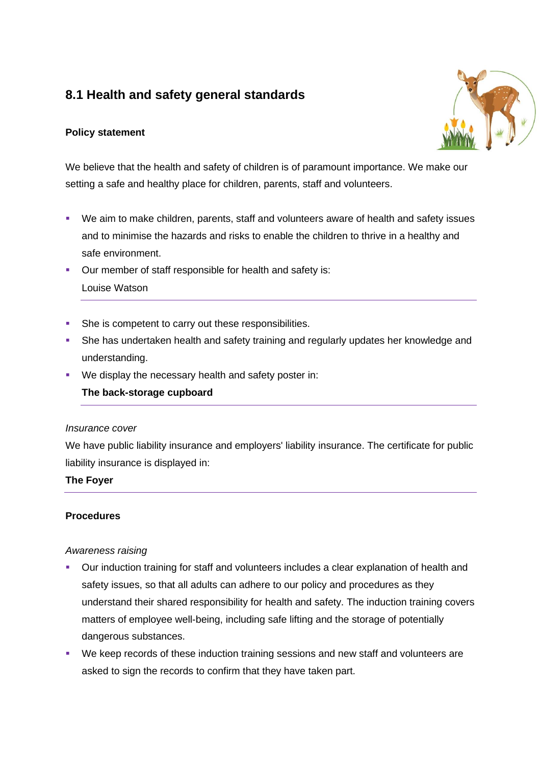# **8.1 Health and safety general standards**

# **Policy statement**



We believe that the health and safety of children is of paramount importance. We make our setting a safe and healthy place for children, parents, staff and volunteers.

- We aim to make children, parents, staff and volunteers aware of health and safety issues and to minimise the hazards and risks to enable the children to thrive in a healthy and safe environment.
- Our member of staff responsible for health and safety is: Louise Watson
- She is competent to carry out these responsibilities.
- **She has undertaken health and safety training and regularly updates her knowledge and** understanding.
- We display the necessary health and safety poster in:

# **The back-storage cupboard**

### *Insurance cover*

We have public liability insurance and employers' liability insurance. The certificate for public liability insurance is displayed in:

### **The Foyer**

# **Procedures**

### *Awareness raising*

- Our induction training for staff and volunteers includes a clear explanation of health and safety issues, so that all adults can adhere to our policy and procedures as they understand their shared responsibility for health and safety. The induction training covers matters of employee well-being, including safe lifting and the storage of potentially dangerous substances.
- We keep records of these induction training sessions and new staff and volunteers are asked to sign the records to confirm that they have taken part.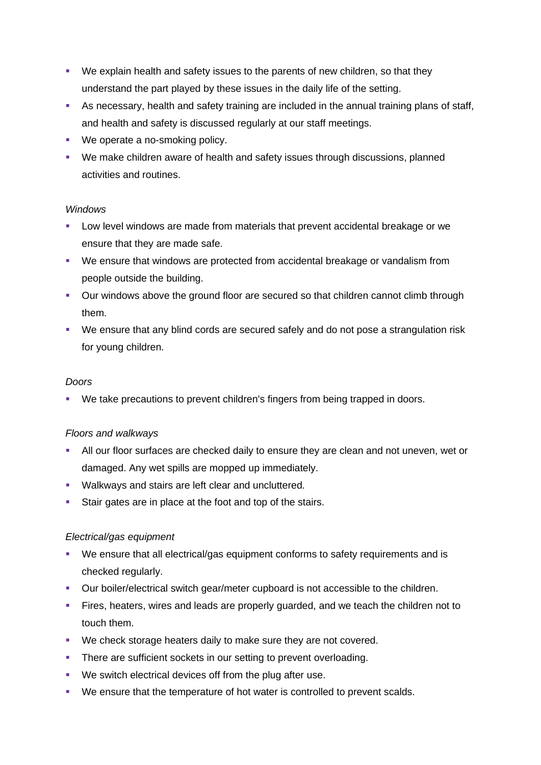- We explain health and safety issues to the parents of new children, so that they understand the part played by these issues in the daily life of the setting.
- **EXEDENT As necessary, health and safety training are included in the annual training plans of staff,** and health and safety is discussed regularly at our staff meetings.
- We operate a no-smoking policy.
- We make children aware of health and safety issues through discussions, planned activities and routines.

### *Windows*

- **EXECT** Low level windows are made from materials that prevent accidental breakage or we ensure that they are made safe.
- We ensure that windows are protected from accidental breakage or vandalism from people outside the building.
- Our windows above the ground floor are secured so that children cannot climb through them.
- We ensure that any blind cords are secured safely and do not pose a strangulation risk for young children.

#### *Doors*

▪ We take precautions to prevent children's fingers from being trapped in doors.

### *Floors and walkways*

- **EXTER 10** All our floor surfaces are checked daily to ensure they are clean and not uneven, wet or damaged. Any wet spills are mopped up immediately.
- Walkways and stairs are left clear and uncluttered.
- Stair gates are in place at the foot and top of the stairs.

### *Electrical/gas equipment*

- We ensure that all electrical/gas equipment conforms to safety requirements and is checked regularly.
- Our boiler/electrical switch gear/meter cupboard is not accessible to the children.
- **EXTER** Fires, heaters, wires and leads are properly guarded, and we teach the children not to touch them.
- We check storage heaters daily to make sure they are not covered.
- **•** There are sufficient sockets in our setting to prevent overloading.
- We switch electrical devices off from the plug after use.
- We ensure that the temperature of hot water is controlled to prevent scalds.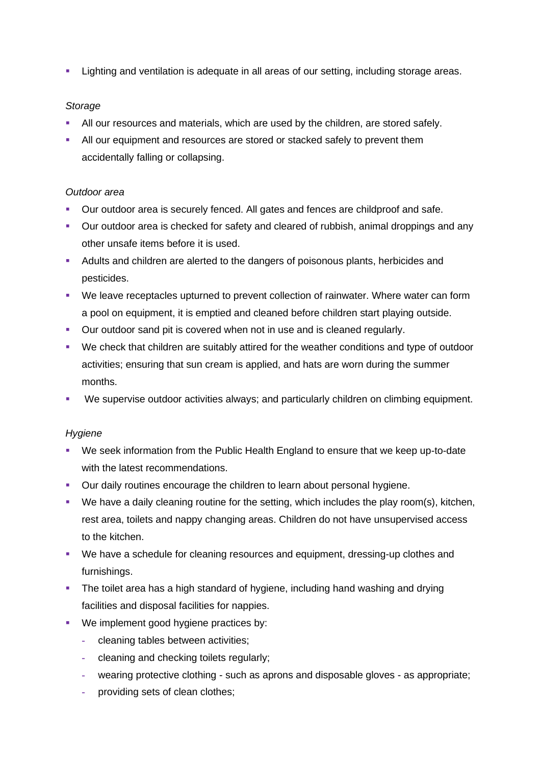**EXECT** Lighting and ventilation is adequate in all areas of our setting, including storage areas.

### *Storage*

- All our resources and materials, which are used by the children, are stored safely.
- **EXECT** All our equipment and resources are stored or stacked safely to prevent them accidentally falling or collapsing.

### *Outdoor area*

- Our outdoor area is securely fenced. All gates and fences are childproof and safe.
- **•** Our outdoor area is checked for safety and cleared of rubbish, animal droppings and any other unsafe items before it is used.
- Adults and children are alerted to the dangers of poisonous plants, herbicides and pesticides.
- We leave receptacles upturned to prevent collection of rainwater. Where water can form a pool on equipment, it is emptied and cleaned before children start playing outside.
- Our outdoor sand pit is covered when not in use and is cleaned regularly.
- We check that children are suitably attired for the weather conditions and type of outdoor activities; ensuring that sun cream is applied, and hats are worn during the summer months.
- We supervise outdoor activities always; and particularly children on climbing equipment.

### *Hygiene*

- We seek information from the Public Health England to ensure that we keep up-to-date with the latest recommendations.
- **Our daily routines encourage the children to learn about personal hygiene.**
- We have a daily cleaning routine for the setting, which includes the play room(s), kitchen, rest area, toilets and nappy changing areas. Children do not have unsupervised access to the kitchen.
- We have a schedule for cleaning resources and equipment, dressing-up clothes and furnishings.
- **•** The toilet area has a high standard of hygiene, including hand washing and drying facilities and disposal facilities for nappies.
- We implement good hygiene practices by:
	- **-** cleaning tables between activities;
	- **-** cleaning and checking toilets regularly;
	- **-** wearing protective clothing such as aprons and disposable gloves as appropriate;
	- **-** providing sets of clean clothes;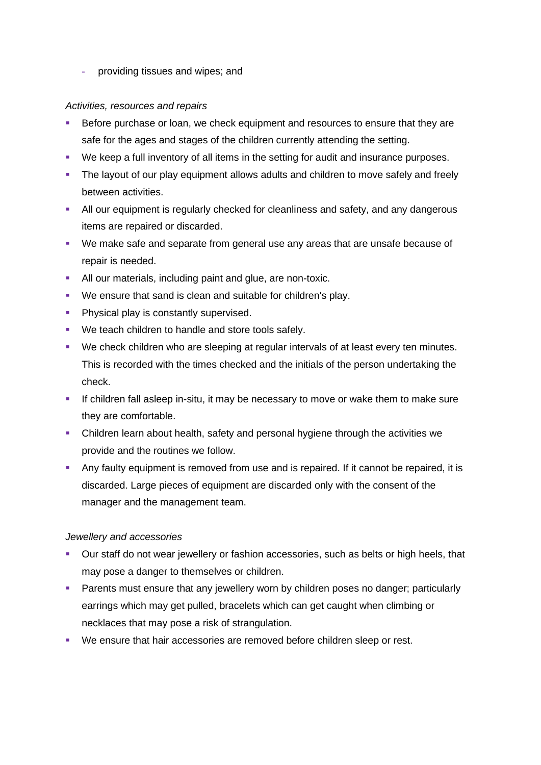**-** providing tissues and wipes; and

### *Activities, resources and repairs*

- Before purchase or loan, we check equipment and resources to ensure that they are safe for the ages and stages of the children currently attending the setting.
- We keep a full inventory of all items in the setting for audit and insurance purposes.
- **•** The layout of our play equipment allows adults and children to move safely and freely between activities.
- **E** All our equipment is regularly checked for cleanliness and safety, and any dangerous items are repaired or discarded.
- We make safe and separate from general use any areas that are unsafe because of repair is needed.
- All our materials, including paint and glue, are non-toxic.
- We ensure that sand is clean and suitable for children's play.
- **Physical play is constantly supervised.**
- We teach children to handle and store tools safely.
- We check children who are sleeping at regular intervals of at least every ten minutes. This is recorded with the times checked and the initials of the person undertaking the check.
- **.** If children fall asleep in-situ, it may be necessary to move or wake them to make sure they are comfortable.
- Children learn about health, safety and personal hygiene through the activities we provide and the routines we follow.
- **Any faulty equipment is removed from use and is repaired. If it cannot be repaired, it is** discarded. Large pieces of equipment are discarded only with the consent of the manager and the management team.

### *Jewellery and accessories*

- **•** Our staff do not wear jewellery or fashion accessories, such as belts or high heels, that may pose a danger to themselves or children.
- **Parents must ensure that any jewellery worn by children poses no danger; particularly** earrings which may get pulled, bracelets which can get caught when climbing or necklaces that may pose a risk of strangulation.
- We ensure that hair accessories are removed before children sleep or rest.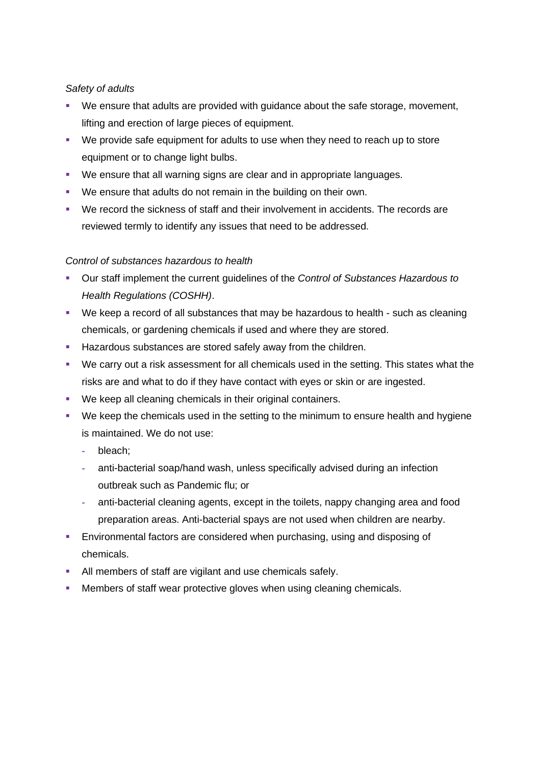### *Safety of adults*

- We ensure that adults are provided with guidance about the safe storage, movement, lifting and erection of large pieces of equipment.
- We provide safe equipment for adults to use when they need to reach up to store equipment or to change light bulbs.
- We ensure that all warning signs are clear and in appropriate languages.
- We ensure that adults do not remain in the building on their own.
- We record the sickness of staff and their involvement in accidents. The records are reviewed termly to identify any issues that need to be addressed.

### *Control of substances hazardous to health*

- Our staff implement the current guidelines of the *Control of Substances Hazardous to Health Regulations (COSHH)*.
- We keep a record of all substances that may be hazardous to health such as cleaning chemicals, or gardening chemicals if used and where they are stored.
- **EXECT** Hazardous substances are stored safely away from the children.
- We carry out a risk assessment for all chemicals used in the setting. This states what the risks are and what to do if they have contact with eyes or skin or are ingested.
- We keep all cleaning chemicals in their original containers.
- We keep the chemicals used in the setting to the minimum to ensure health and hygiene is maintained. We do not use:
	- **-** bleach;
	- **-** anti-bacterial soap/hand wash, unless specifically advised during an infection outbreak such as Pandemic flu; or
	- **-** anti-bacterial cleaning agents, except in the toilets, nappy changing area and food preparation areas. Anti-bacterial spays are not used when children are nearby.
- **Environmental factors are considered when purchasing, using and disposing of** chemicals.
- All members of staff are vigilant and use chemicals safely.
- **Members of staff wear protective gloves when using cleaning chemicals.**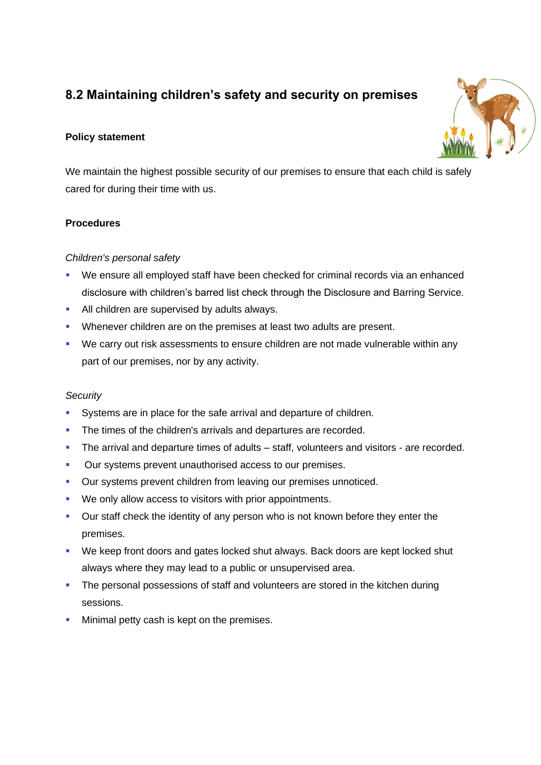# **8.2 Maintaining children's safety and security on premises**

# **Policy statement**



We maintain the highest possible security of our premises to ensure that each child is safely cared for during their time with us.

# **Procedures**

# *Children's personal safety*

- We ensure all employed staff have been checked for criminal records via an enhanced disclosure with children's barred list check through the Disclosure and Barring Service.
- **EXECUTE:** All children are supervised by adults always.
- Whenever children are on the premises at least two adults are present.
- We carry out risk assessments to ensure children are not made vulnerable within any part of our premises, nor by any activity.

# *Security*

- Systems are in place for the safe arrival and departure of children.
- **•** The times of the children's arrivals and departures are recorded.
- **•** The arrival and departure times of adults staff, volunteers and visitors are recorded.
- Our systems prevent unauthorised access to our premises.
- **Our systems prevent children from leaving our premises unnoticed.**
- We only allow access to visitors with prior appointments.
- Our staff check the identity of any person who is not known before they enter the premises.
- We keep front doors and gates locked shut always. Back doors are kept locked shut always where they may lead to a public or unsupervised area.
- **The personal possessions of staff and volunteers are stored in the kitchen during** sessions.
- **■** Minimal petty cash is kept on the premises.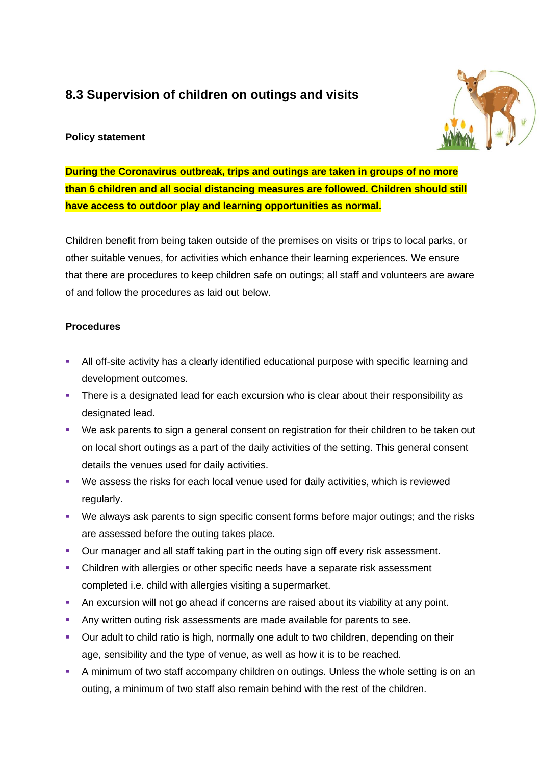# **8.3 Supervision of children on outings and visits**

# **Policy statement**



**During the Coronavirus outbreak, trips and outings are taken in groups of no more than 6 children and all social distancing measures are followed. Children should still have access to outdoor play and learning opportunities as normal.**

Children benefit from being taken outside of the premises on visits or trips to local parks, or other suitable venues, for activities which enhance their learning experiences. We ensure that there are procedures to keep children safe on outings; all staff and volunteers are aware of and follow the procedures as laid out below.

### **Procedures**

- **EXTENT All off-site activity has a clearly identified educational purpose with specific learning and** development outcomes.
- **•** There is a designated lead for each excursion who is clear about their responsibility as designated lead.
- We ask parents to sign a general consent on registration for their children to be taken out on local short outings as a part of the daily activities of the setting. This general consent details the venues used for daily activities.
- We assess the risks for each local venue used for daily activities, which is reviewed regularly.
- We always ask parents to sign specific consent forms before major outings; and the risks are assessed before the outing takes place.
- Our manager and all staff taking part in the outing sign off every risk assessment.
- **•** Children with allergies or other specific needs have a separate risk assessment completed i.e. child with allergies visiting a supermarket.
- **An excursion will not go ahead if concerns are raised about its viability at any point.**
- **Any written outing risk assessments are made available for parents to see.**
- Our adult to child ratio is high, normally one adult to two children, depending on their age, sensibility and the type of venue, as well as how it is to be reached.
- **A minimum of two staff accompany children on outings. Unless the whole setting is on an** outing, a minimum of two staff also remain behind with the rest of the children.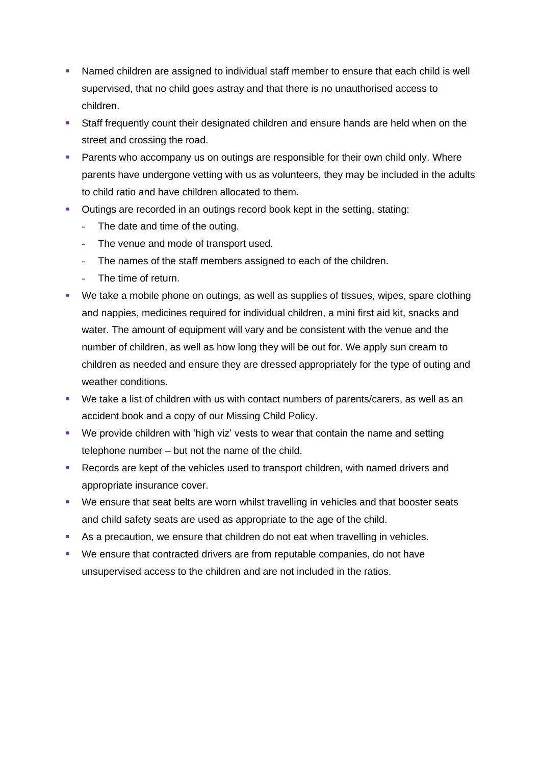- Named children are assigned to individual staff member to ensure that each child is well supervised, that no child goes astray and that there is no unauthorised access to children.
- **EXECT** Staff frequently count their designated children and ensure hands are held when on the street and crossing the road.
- **Parents who accompany us on outings are responsible for their own child only. Where** parents have undergone vetting with us as volunteers, they may be included in the adults to child ratio and have children allocated to them.
- Outings are recorded in an outings record book kept in the setting, stating:
	- **-** The date and time of the outing.
	- **-** The venue and mode of transport used.
	- **-** The names of the staff members assigned to each of the children.
	- **-** The time of return.
- We take a mobile phone on outings, as well as supplies of tissues, wipes, spare clothing and nappies, medicines required for individual children, a mini first aid kit, snacks and water. The amount of equipment will vary and be consistent with the venue and the number of children, as well as how long they will be out for. We apply sun cream to children as needed and ensure they are dressed appropriately for the type of outing and weather conditions.
- We take a list of children with us with contact numbers of parents/carers, as well as an accident book and a copy of our Missing Child Policy.
- We provide children with 'high viz' vests to wear that contain the name and setting telephone number – but not the name of the child.
- Records are kept of the vehicles used to transport children, with named drivers and appropriate insurance cover.
- We ensure that seat belts are worn whilst travelling in vehicles and that booster seats and child safety seats are used as appropriate to the age of the child.
- As a precaution, we ensure that children do not eat when travelling in vehicles.
- We ensure that contracted drivers are from reputable companies, do not have unsupervised access to the children and are not included in the ratios.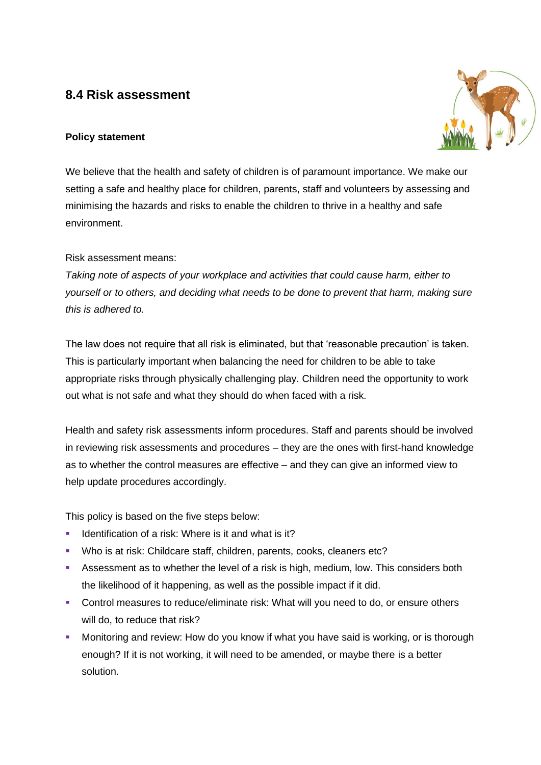# **8.4 Risk assessment**

# **Policy statement**



We believe that the health and safety of children is of paramount importance. We make our setting a safe and healthy place for children, parents, staff and volunteers by assessing and minimising the hazards and risks to enable the children to thrive in a healthy and safe environment.

Risk assessment means:

*Taking note of aspects of your workplace and activities that could cause harm, either to yourself or to others, and deciding what needs to be done to prevent that harm, making sure this is adhered to.*

The law does not require that all risk is eliminated, but that 'reasonable precaution' is taken. This is particularly important when balancing the need for children to be able to take appropriate risks through physically challenging play. Children need the opportunity to work out what is not safe and what they should do when faced with a risk.

Health and safety risk assessments inform procedures. Staff and parents should be involved in reviewing risk assessments and procedures – they are the ones with first-hand knowledge as to whether the control measures are effective – and they can give an informed view to help update procedures accordingly.

This policy is based on the five steps below:

- Identification of a risk: Where is it and what is it?
- Who is at risk: Childcare staff, children, parents, cooks, cleaners etc?
- **EXE** Assessment as to whether the level of a risk is high, medium, low. This considers both the likelihood of it happening, as well as the possible impact if it did.
- Control measures to reduce/eliminate risk: What will you need to do, or ensure others will do, to reduce that risk?
- Monitoring and review: How do you know if what you have said is working, or is thorough enough? If it is not working, it will need to be amended, or maybe there is a better solution.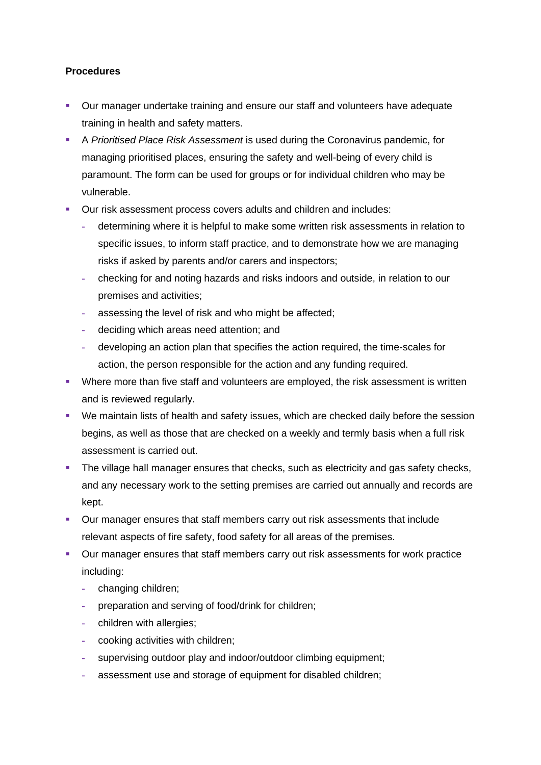### **Procedures**

- Our manager undertake training and ensure our staff and volunteers have adequate training in health and safety matters.
- A *Prioritised Place Risk Assessment* is used during the Coronavirus pandemic, for managing prioritised places, ensuring the safety and well-being of every child is paramount. The form can be used for groups or for individual children who may be vulnerable.
- Our risk assessment process covers adults and children and includes:
	- **-** determining where it is helpful to make some written risk assessments in relation to specific issues, to inform staff practice, and to demonstrate how we are managing risks if asked by parents and/or carers and inspectors;
	- **-** checking for and noting hazards and risks indoors and outside, in relation to our premises and activities;
	- **-** assessing the level of risk and who might be affected;
	- **-** deciding which areas need attention; and
	- **-** developing an action plan that specifies the action required, the time-scales for action, the person responsible for the action and any funding required.
- Where more than five staff and volunteers are employed, the risk assessment is written and is reviewed regularly.
- We maintain lists of health and safety issues, which are checked daily before the session begins, as well as those that are checked on a weekly and termly basis when a full risk assessment is carried out.
- **•** The village hall manager ensures that checks, such as electricity and gas safety checks, and any necessary work to the setting premises are carried out annually and records are kept.
- Our manager ensures that staff members carry out risk assessments that include relevant aspects of fire safety, food safety for all areas of the premises.
- Our manager ensures that staff members carry out risk assessments for work practice including:
	- **-** changing children;
	- **-** preparation and serving of food/drink for children;
	- **-** children with allergies;
	- **-** cooking activities with children;
	- **-** supervising outdoor play and indoor/outdoor climbing equipment;
	- **-** assessment use and storage of equipment for disabled children;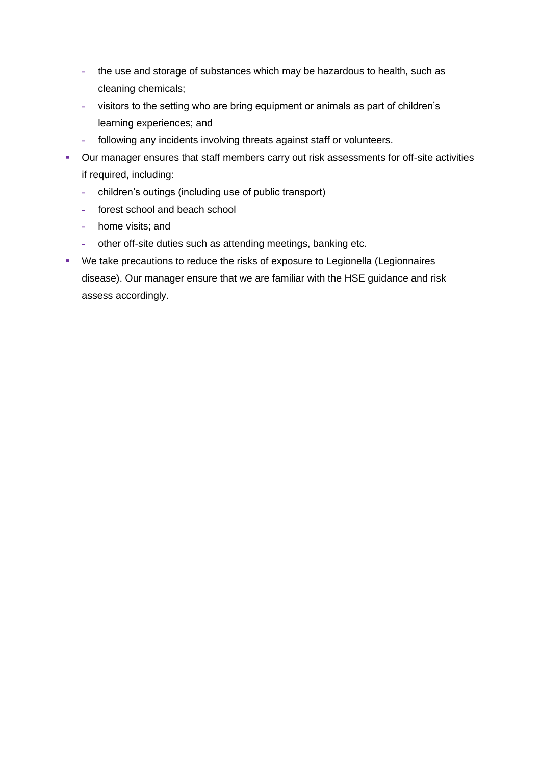- **-** the use and storage of substances which may be hazardous to health, such as cleaning chemicals;
- **-** visitors to the setting who are bring equipment or animals as part of children's learning experiences; and
- **-** following any incidents involving threats against staff or volunteers.
- Our manager ensures that staff members carry out risk assessments for off-site activities if required, including:
	- **-** children's outings (including use of public transport)
	- **-** forest school and beach school
	- **-** home visits; and
	- **-** other off-site duties such as attending meetings, banking etc.
- We take precautions to reduce the risks of exposure to Legionella (Legionnaires disease). Our manager ensure that we are familiar with the HSE guidance and risk assess accordingly.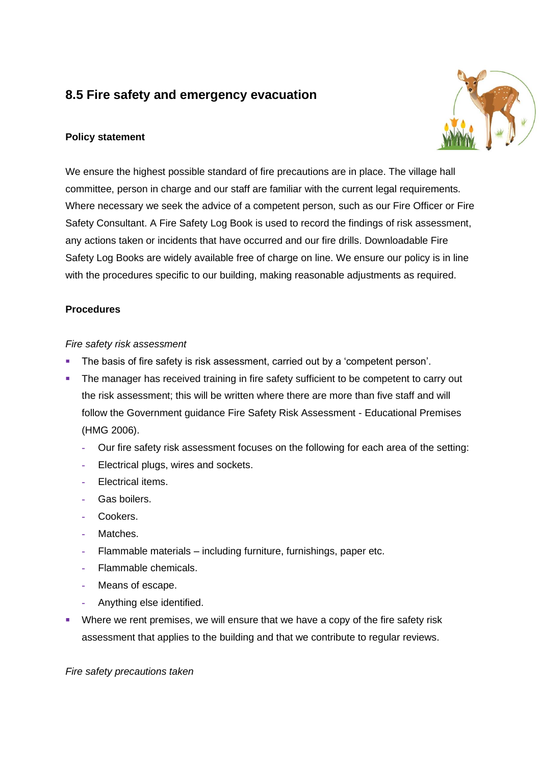# **8.5 Fire safety and emergency evacuation**

### **Policy statement**



We ensure the highest possible standard of fire precautions are in place. The village hall committee, person in charge and our staff are familiar with the current legal requirements. Where necessary we seek the advice of a competent person, such as our Fire Officer or Fire Safety Consultant. A Fire Safety Log Book is used to record the findings of risk assessment, any actions taken or incidents that have occurred and our fire drills. Downloadable Fire Safety Log Books are widely available free of charge on line. We ensure our policy is in line with the procedures specific to our building, making reasonable adjustments as required.

### **Procedures**

### *Fire safety risk assessment*

- **EXEDENT The basis of fire safety is risk assessment, carried out by a 'competent person'.**
- **•** The manager has received training in fire safety sufficient to be competent to carry out the risk assessment; this will be written where there are more than five staff and will follow the Government guidance Fire Safety Risk Assessment - Educational Premises (HMG 2006).
	- **-** Our fire safety risk assessment focuses on the following for each area of the setting:
	- **-** Electrical plugs, wires and sockets.
	- **-** Electrical items.
	- **-** Gas boilers.
	- **-** Cookers.
	- **-** Matches.
	- **-** Flammable materials including furniture, furnishings, paper etc.
	- **-** Flammable chemicals.
	- **-** Means of escape.
	- **-** Anything else identified.
- Where we rent premises, we will ensure that we have a copy of the fire safety risk assessment that applies to the building and that we contribute to regular reviews.

*Fire safety precautions taken*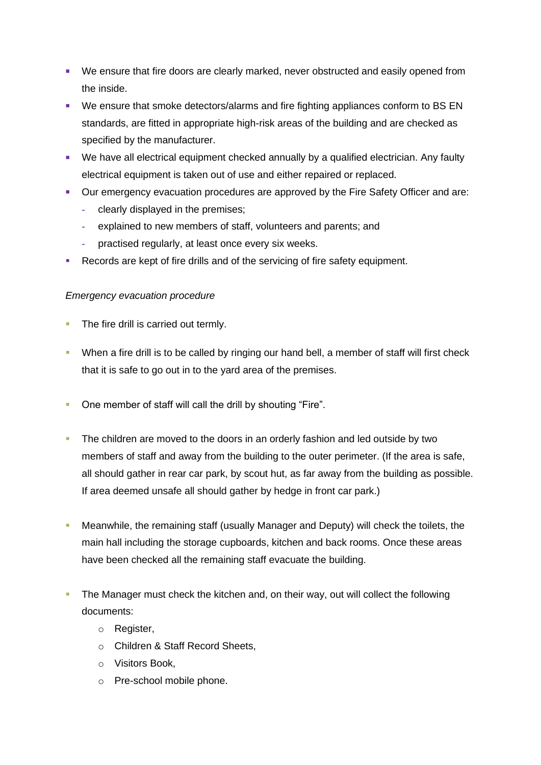- We ensure that fire doors are clearly marked, never obstructed and easily opened from the inside.
- We ensure that smoke detectors/alarms and fire fighting appliances conform to BS EN standards, are fitted in appropriate high-risk areas of the building and are checked as specified by the manufacturer.
- We have all electrical equipment checked annually by a qualified electrician. Any faulty electrical equipment is taken out of use and either repaired or replaced.
- Our emergency evacuation procedures are approved by the Fire Safety Officer and are:
	- **-** clearly displayed in the premises;
	- **-** explained to new members of staff, volunteers and parents; and
	- **-** practised regularly, at least once every six weeks.
- Records are kept of fire drills and of the servicing of fire safety equipment.

# *Emergency evacuation procedure*

- **The fire drill is carried out termly.**
- When a fire drill is to be called by ringing our hand bell, a member of staff will first check that it is safe to go out in to the yard area of the premises.
- One member of staff will call the drill by shouting "Fire".
- **The children are moved to the doors in an orderly fashion and led outside by two** members of staff and away from the building to the outer perimeter. (If the area is safe, all should gather in rear car park, by scout hut, as far away from the building as possible. If area deemed unsafe all should gather by hedge in front car park.)
- Meanwhile, the remaining staff (usually Manager and Deputy) will check the toilets, the main hall including the storage cupboards, kitchen and back rooms. Once these areas have been checked all the remaining staff evacuate the building.
- The Manager must check the kitchen and, on their way, out will collect the following documents:
	- o Register,
	- o Children & Staff Record Sheets,
	- o Visitors Book,
	- o Pre-school mobile phone.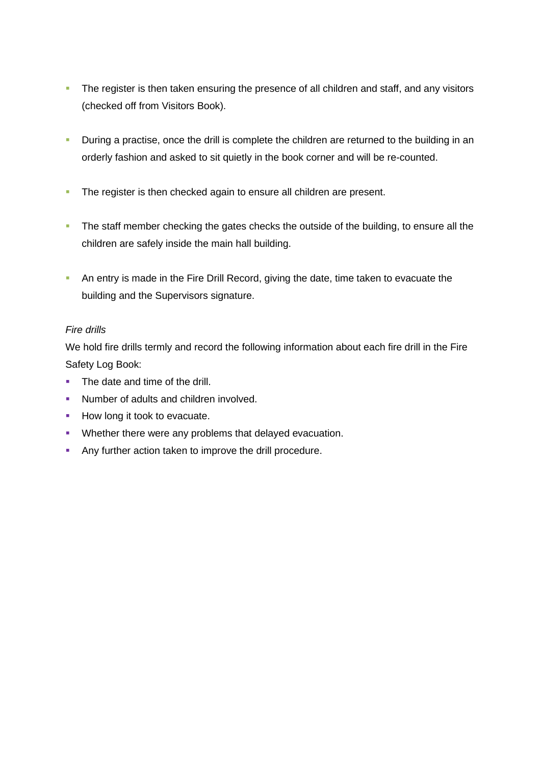- **•** The register is then taken ensuring the presence of all children and staff, and any visitors (checked off from Visitors Book).
- **•** During a practise, once the drill is complete the children are returned to the building in an orderly fashion and asked to sit quietly in the book corner and will be re-counted.
- **•** The register is then checked again to ensure all children are present.
- **•** The staff member checking the gates checks the outside of the building, to ensure all the children are safely inside the main hall building.
- **An entry is made in the Fire Drill Record, giving the date, time taken to evacuate the** building and the Supervisors signature.

# *Fire drills*

We hold fire drills termly and record the following information about each fire drill in the Fire Safety Log Book:

- The date and time of the drill.
- Number of adults and children involved.
- How long it took to evacuate.
- Whether there were any problems that delayed evacuation.
- Any further action taken to improve the drill procedure.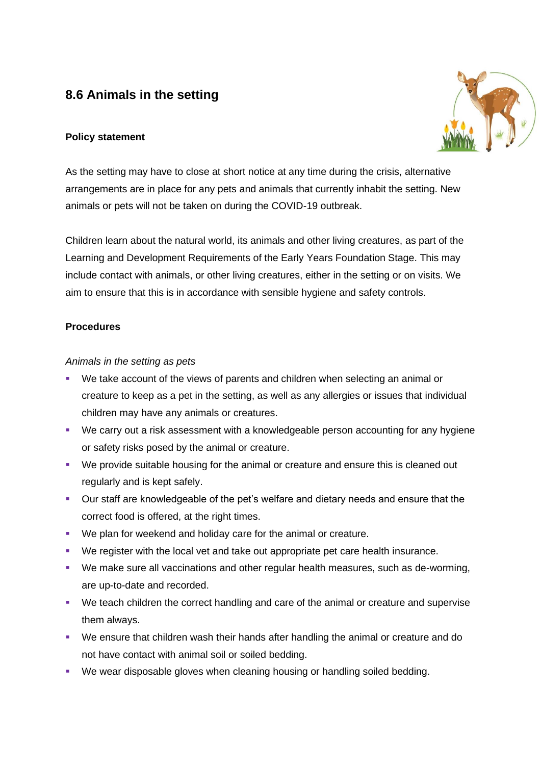# **8.6 Animals in the setting**

### **Policy statement**



As the setting may have to close at short notice at any time during the crisis, alternative arrangements are in place for any pets and animals that currently inhabit the setting. New animals or pets will not be taken on during the COVID-19 outbreak.

Children learn about the natural world, its animals and other living creatures, as part of the Learning and Development Requirements of the Early Years Foundation Stage. This may include contact with animals, or other living creatures, either in the setting or on visits. We aim to ensure that this is in accordance with sensible hygiene and safety controls.

### **Procedures**

### *Animals in the setting as pets*

- We take account of the views of parents and children when selecting an animal or creature to keep as a pet in the setting, as well as any allergies or issues that individual children may have any animals or creatures.
- We carry out a risk assessment with a knowledgeable person accounting for any hygiene or safety risks posed by the animal or creature.
- We provide suitable housing for the animal or creature and ensure this is cleaned out regularly and is kept safely.
- Our staff are knowledgeable of the pet's welfare and dietary needs and ensure that the correct food is offered, at the right times.
- We plan for weekend and holiday care for the animal or creature.
- We register with the local vet and take out appropriate pet care health insurance.
- We make sure all vaccinations and other regular health measures, such as de-worming, are up-to-date and recorded.
- We teach children the correct handling and care of the animal or creature and supervise them always.
- We ensure that children wash their hands after handling the animal or creature and do not have contact with animal soil or soiled bedding.
- We wear disposable gloves when cleaning housing or handling soiled bedding.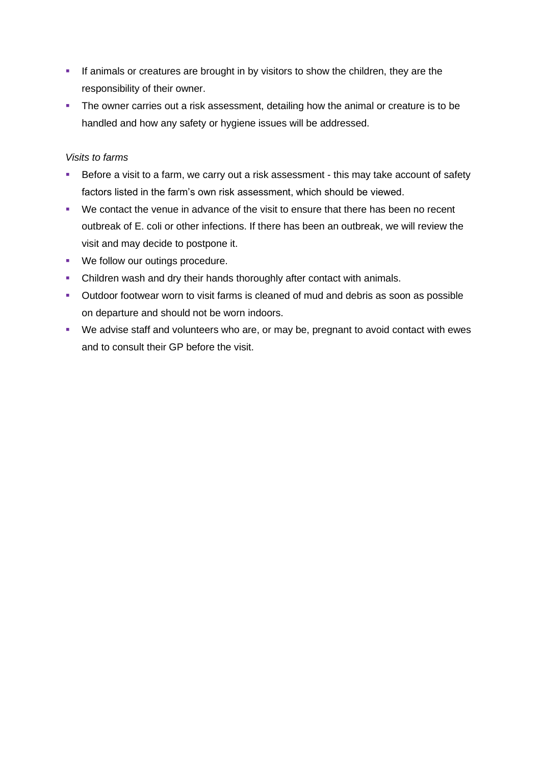- **.** If animals or creatures are brought in by visitors to show the children, they are the responsibility of their owner.
- The owner carries out a risk assessment, detailing how the animal or creature is to be handled and how any safety or hygiene issues will be addressed.

### *Visits to farms*

- Before a visit to a farm, we carry out a risk assessment this may take account of safety factors listed in the farm's own risk assessment, which should be viewed.
- We contact the venue in advance of the visit to ensure that there has been no recent outbreak of E. coli or other infections. If there has been an outbreak, we will review the visit and may decide to postpone it.
- We follow our outings procedure.
- **Children wash and dry their hands thoroughly after contact with animals.**
- Outdoor footwear worn to visit farms is cleaned of mud and debris as soon as possible on departure and should not be worn indoors.
- We advise staff and volunteers who are, or may be, pregnant to avoid contact with ewes and to consult their GP before the visit.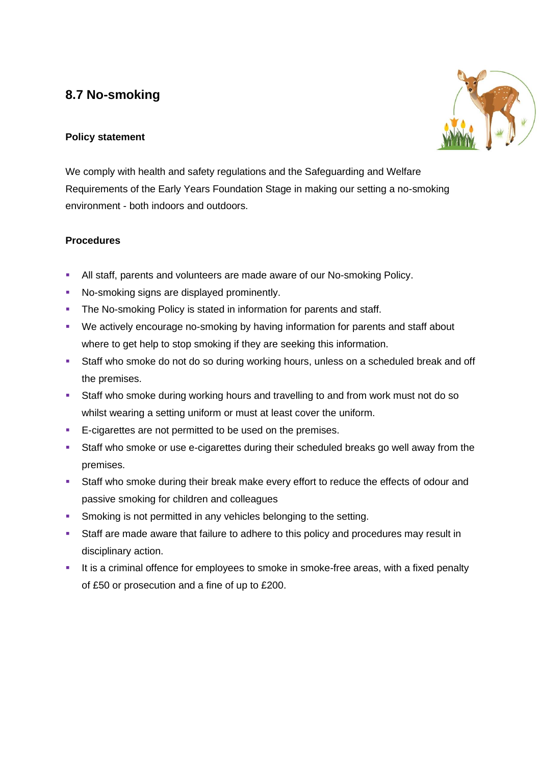# **8.7 No-smoking**

# **Policy statement**



We comply with health and safety regulations and the Safeguarding and Welfare Requirements of the Early Years Foundation Stage in making our setting a no-smoking environment - both indoors and outdoors.

# **Procedures**

- All staff, parents and volunteers are made aware of our No-smoking Policy.
- No-smoking signs are displayed prominently.
- **The No-smoking Policy is stated in information for parents and staff.**
- We actively encourage no-smoking by having information for parents and staff about where to get help to stop smoking if they are seeking this information.
- Staff who smoke do not do so during working hours, unless on a scheduled break and off the premises.
- Staff who smoke during working hours and travelling to and from work must not do so whilst wearing a setting uniform or must at least cover the uniform.
- E-cigarettes are not permitted to be used on the premises.
- Staff who smoke or use e-cigarettes during their scheduled breaks go well away from the premises.
- **EXECT** Staff who smoke during their break make every effort to reduce the effects of odour and passive smoking for children and colleagues
- **EXECT:** Smoking is not permitted in any vehicles belonging to the setting.
- **EXT** Staff are made aware that failure to adhere to this policy and procedures may result in disciplinary action.
- **EXECT** It is a criminal offence for employees to smoke in smoke-free areas, with a fixed penalty of £50 or prosecution and a fine of up to £200.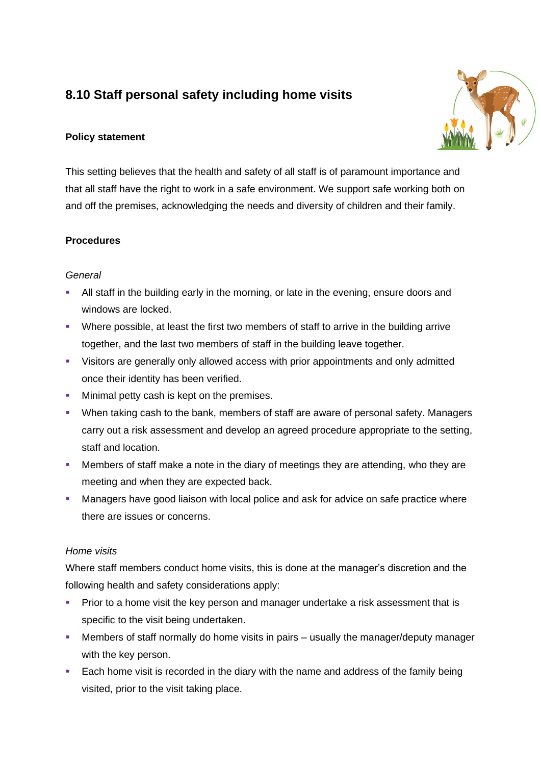# **8.10 Staff personal safety including home visits**



# **Policy statement**

This setting believes that the health and safety of all staff is of paramount importance and that all staff have the right to work in a safe environment. We support safe working both on and off the premises, acknowledging the needs and diversity of children and their family.

# **Procedures**

# *General*

- **EXECT** All staff in the building early in the morning, or late in the evening, ensure doors and windows are locked.
- Where possible, at least the first two members of staff to arrive in the building arrive together, and the last two members of staff in the building leave together.
- Visitors are generally only allowed access with prior appointments and only admitted once their identity has been verified.
- **■** Minimal petty cash is kept on the premises.
- When taking cash to the bank, members of staff are aware of personal safety. Managers carry out a risk assessment and develop an agreed procedure appropriate to the setting, staff and location.
- Members of staff make a note in the diary of meetings they are attending, who they are meeting and when they are expected back.
- **■** Managers have good liaison with local police and ask for advice on safe practice where there are issues or concerns.

# *Home visits*

Where staff members conduct home visits, this is done at the manager's discretion and the following health and safety considerations apply:

- **•** Prior to a home visit the key person and manager undertake a risk assessment that is specific to the visit being undertaken.
- **■** Members of staff normally do home visits in pairs usually the manager/deputy manager with the key person.
- Each home visit is recorded in the diary with the name and address of the family being visited, prior to the visit taking place.